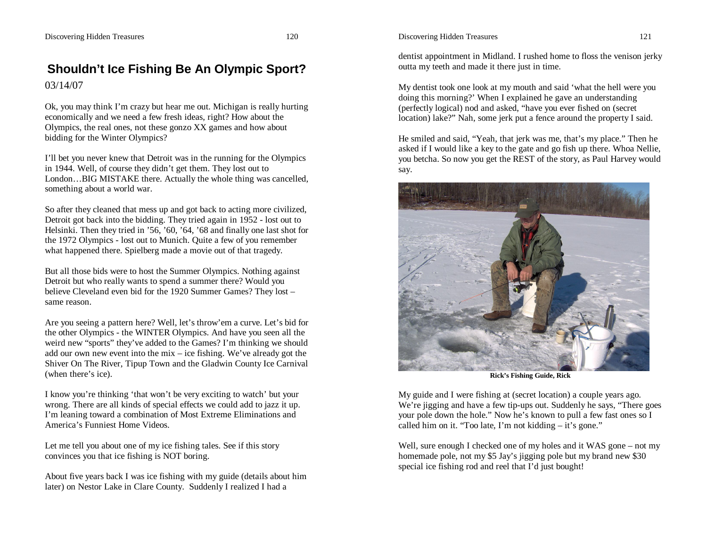## **Shouldn't Ice Fishing Be An Olympic Sport?** 03/14/07

Ok, you may think I'm crazy but hear me out. Michigan is really hurting economically and we need a few fresh ideas, right? How about the Olympics, the real ones, not these gonzo XX games and how about bidding for the Winter Olympics?

I'll bet you never knew that Detroit was in the running for the Olympics in 1944. Well, of course they didn't get them. They lost out to London…BIG MISTAKE there. Actually the whole thing was cancelled, something about a world war.

So after they cleaned that mess up and got back to acting more civilized, Detroit got back into the bidding. They tried again in 1952 - lost out to Helsinki. Then they tried in '56, '60, '64, '68 and finally one last shot for the 1972 Olympics - lost out to Munich. Quite a few of you remember what happened there. Spielberg made a movie out of that tragedy.

But all those bids were to host the Summer Olympics. Nothing against Detroit but who really wants to spend a summer there? Would you believe Cleveland even bid for the 1920 Summer Games? They lost – same reason.

Are you seeing a pattern here? Well, let's throw'em a curve. Let's bid for the other Olympics - the WINTER Olympics. And have you seen all the weird new "sports" they've added to the Games? I'm thinking we should add our own new event into the mix – ice fishing. We've already got the Shiver On The River, Tipup Town and the Gladwin County Ice Carnival (when there's ice).

I know you're thinking 'that won't be very exciting to watch' but your wrong. There are all kinds of special effects we could add to jazz it up. I'm leaning toward a combination of Most Extreme Eliminations and America's Funniest Home Videos.

Let me tell you about one of my ice fishing tales. See if this story convinces you that ice fishing is NOT boring.

About five years back I was ice fishing with my guide (details about him later) on Nestor Lake in Clare County. Suddenly I realized I had a

dentist appointment in Midland. I rushed home to floss the venison jerky outta my teeth and made it there just in time.

My dentist took one look at my mouth and said 'what the hell were you doing this morning?' When I explained he gave an understanding (perfectly logical) nod and asked, "have you ever fished on (secret location) lake?" Nah, some jerk put a fence around the property I said.

He smiled and said, "Yeah, that jerk was me, that's my place." Then he asked if I would like a key to the gate and go fish up there. Whoa Nellie, you betcha. So now you get the REST of the story, as Paul Harvey would say.



**Rick's Fishing Guide, Rick**

My guide and I were fishing at (secret location) a couple years ago. We're jigging and have a few tip-ups out. Suddenly he says, "There goes your pole down the hole." Now he's known to pull a few fast ones so I called him on it. "Too late, I'm not kidding  $-$  it's gone."

Well, sure enough I checked one of my holes and it WAS gone – not my homemade pole, not my \$5 Jay's jigging pole but my brand new \$30 special ice fishing rod and reel that I'd just bought!